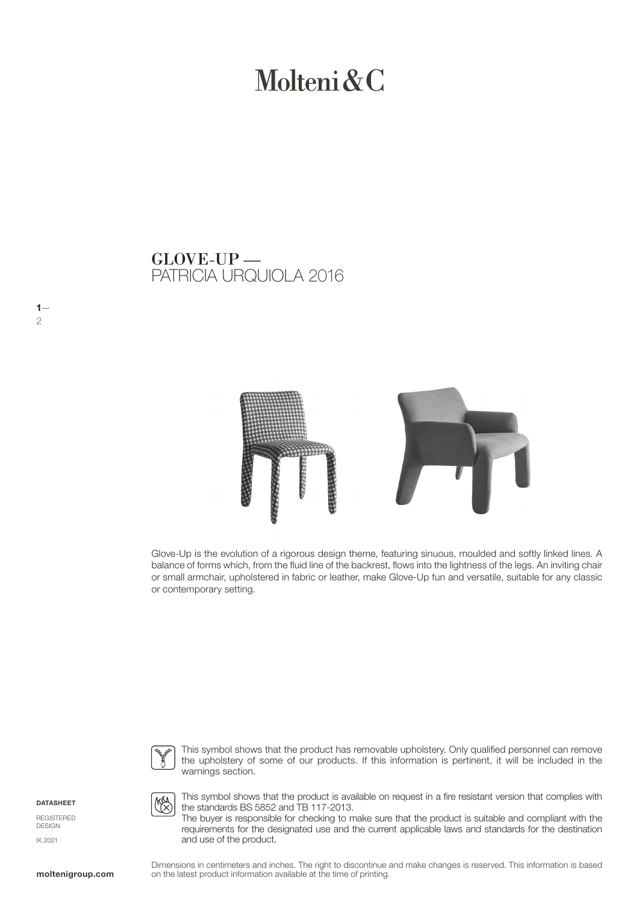# Molteni & C

PATRICIA URQUIOLA 2016 GLOVE-UP —



Glove-Up is the evolution of a rigorous design theme, featuring sinuous, moulded and softly linked lines. A balance of forms which, from the fluid line of the backrest, flows into the lightness of the legs. An inviting chair or small armchair, upholstered in fabric or leather, make Glove-Up fun and versatile, suitable for any classic or contemporary setting.



This symbol shows that the product has removable upholstery. Only qualified personnel can remove the upholstery of some of our products. If this information is pertinent, it will be included in the warnings section.

DATASHEET

 $1-$ 

2

REGISTERED DESIGN IX.2021



This symbol shows that the product is available on request in a fire resistant version that complies with the standards BS 5852 and TB 117-2013.

The buyer is responsible for checking to make sure that the product is suitable and compliant with the requirements for the designated use and the current applicable laws and standards for the destination and use of the product.

Dimensions in centimeters and inches. The right to discontinue and make changes is reserved. This information is based on the latest product information available at the time of printing.